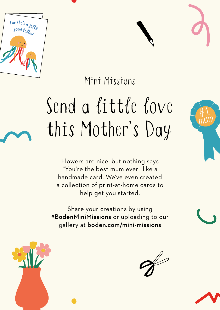



## Send a little love this Mother's Day

Flowers are nice, but nothing says "You're the best mum ever" like a handmade card. We've even created a collection of print-at-home cards to help get you started.

Share your creations by using #BodenMiniMissions or uploading to our gallery at boden.com/mini-missions





 $#1$ 





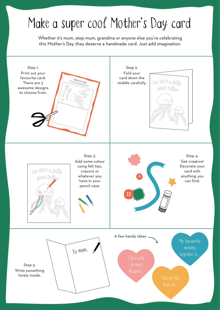## Make a super cool Mother's Day card

Whether it's mum, step-mum, grandma or anyone else you're celebrating this Mother's Day, they deserve a handmade card. Just add imagination.

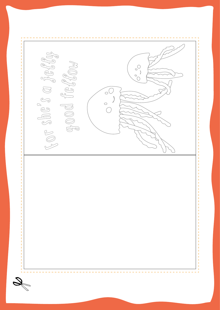$O_0O$  $\circ$ <sup>(</sup>  $\begin{array}{c}\n0 \\
\hline\n\end{array}$ \_\_\_\_\_\_\_\_\_\_\_\_\_\_\_\_\_\_\_\_\_\_\_\_\_\_\_\_\_\_\_\_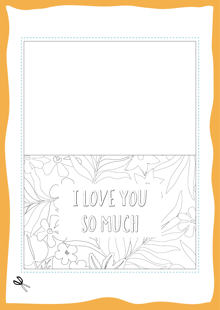

 $\mathscr{D}$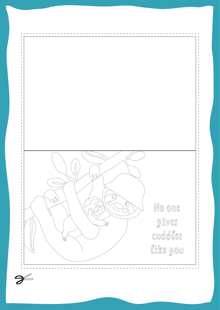